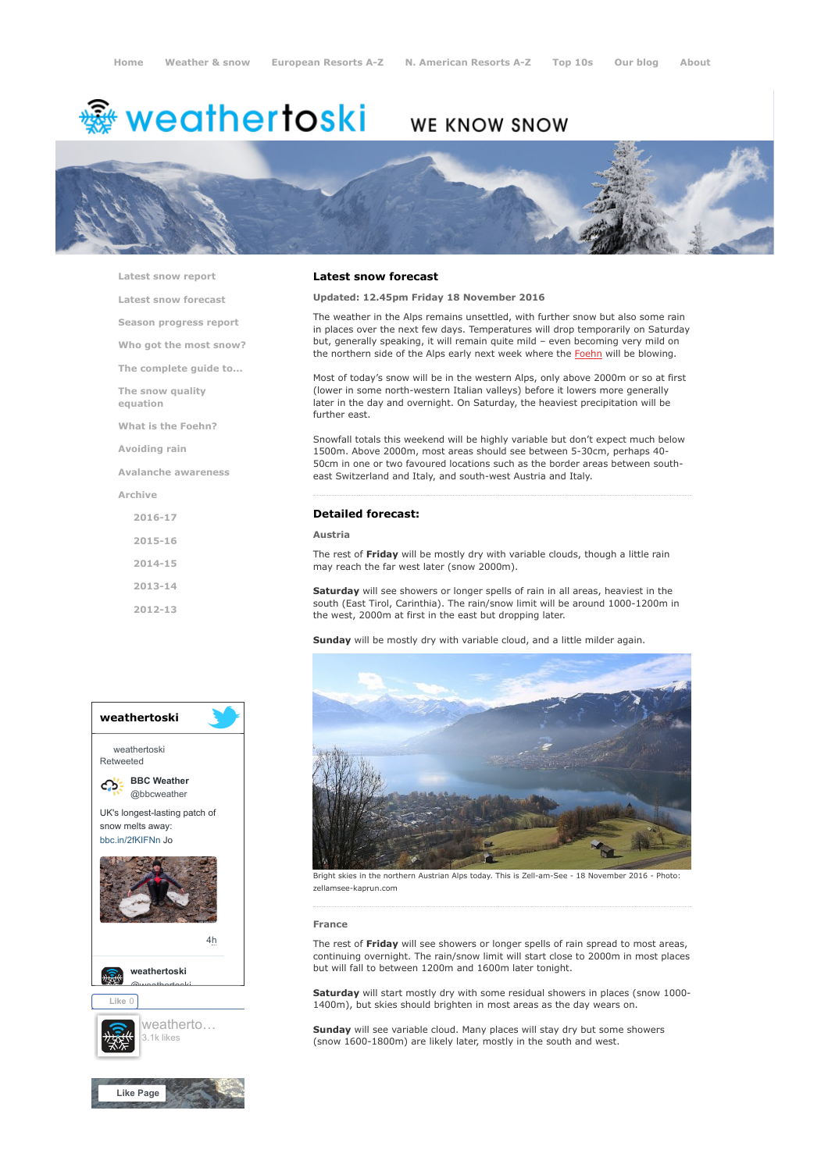# <del>鑾</del> weathertoski

# WE KNOW SNOW



[Latest snow report](https://www.weathertoski.co.uk/weather-snow/latest-snow-report/)

[Latest snow forecast](https://www.weathertoski.co.uk/weather-snow/latest-snow-forecast/)

[Season progress report](https://www.weathertoski.co.uk/weather-snow/season-progress-report/)

[Who got the most snow?](https://www.weathertoski.co.uk/weather-snow/who-got-the-most-snow/)

[The complete guide to...](https://www.weathertoski.co.uk/weather-snow/the-complete-guide-to/)

[The snow quality](https://www.weathertoski.co.uk/weather-snow/the-snow-quality-equation/)

[What is the Foehn?](https://www.weathertoski.co.uk/weather-snow/what-is-the-foehn/)

[Avoiding rain](https://www.weathertoski.co.uk/weather-snow/avoiding-rain/)

equation

[Avalanche awareness](https://www.weathertoski.co.uk/weather-snow/avalanche-awareness/)

[Archive](https://www.weathertoski.co.uk/weather-snow/archive/)

[2016-17](https://www.weathertoski.co.uk/weather-snow/archive/2016-17/) [2015-16](https://www.weathertoski.co.uk/weather-snow/archive/2015-16/) [2014-15](https://www.weathertoski.co.uk/weather-snow/archive/2014-15/) [2013-14](https://www.weathertoski.co.uk/weather-snow/archive/2013-14/)

[2012-13](https://www.weathertoski.co.uk/weather-snow/archive/2012-13/)



# Latest snow forecast

Updated: 12.45pm Friday 18 November 2016

The weather in the Alps remains unsettled, with further snow but also some rain in places over the next few days. Temperatures will drop temporarily on Saturday but, generally speaking, it will remain quite mild – even becoming very mild on the northern side of the Alps early next week where the [Foehn](https://www.weathertoski.co.uk/weather-snow/what-is-the-foehn/) will be blowing.

Most of today's snow will be in the western Alps, only above 2000m or so at first (lower in some north-western Italian valleys) before it lowers more generally later in the day and overnight. On Saturday, the heaviest precipitation will be further east.

Snowfall totals this weekend will be highly variable but don't expect much below 1500m. Above 2000m, most areas should see between 5-30cm, perhaps 40- 50cm in one or two favoured locations such as the border areas between southeast Switzerland and Italy, and south-west Austria and Italy.

#### Detailed forecast:

#### Austria

The rest of Friday will be mostly dry with variable clouds, though a little rain may reach the far west later (snow 2000m).

Saturday will see showers or longer spells of rain in all areas, heaviest in the south (East Tirol, Carinthia). The rain/snow limit will be around 1000-1200m in the west, 2000m at first in the east but dropping later.

Sunday will be mostly dry with variable cloud, and a little milder again.



Bright skies in the northern Austrian Alps today. This is Zell-am-See - 18 November 2016 - Photo: zellamsee-kaprun.com

#### France

The rest of Friday will see showers or longer spells of rain spread to most areas, continuing overnight. The rain/snow limit will start close to 2000m in most places but will fall to between 1200m and 1600m later tonight.

Saturday will start mostly dry with some residual showers in places (snow 1000-1400m), but skies should brighten in most areas as the day wears on.

Sunday will see variable cloud. Many places will stay dry but some showers (snow 1600-1800m) are likely later, mostly in the south and west.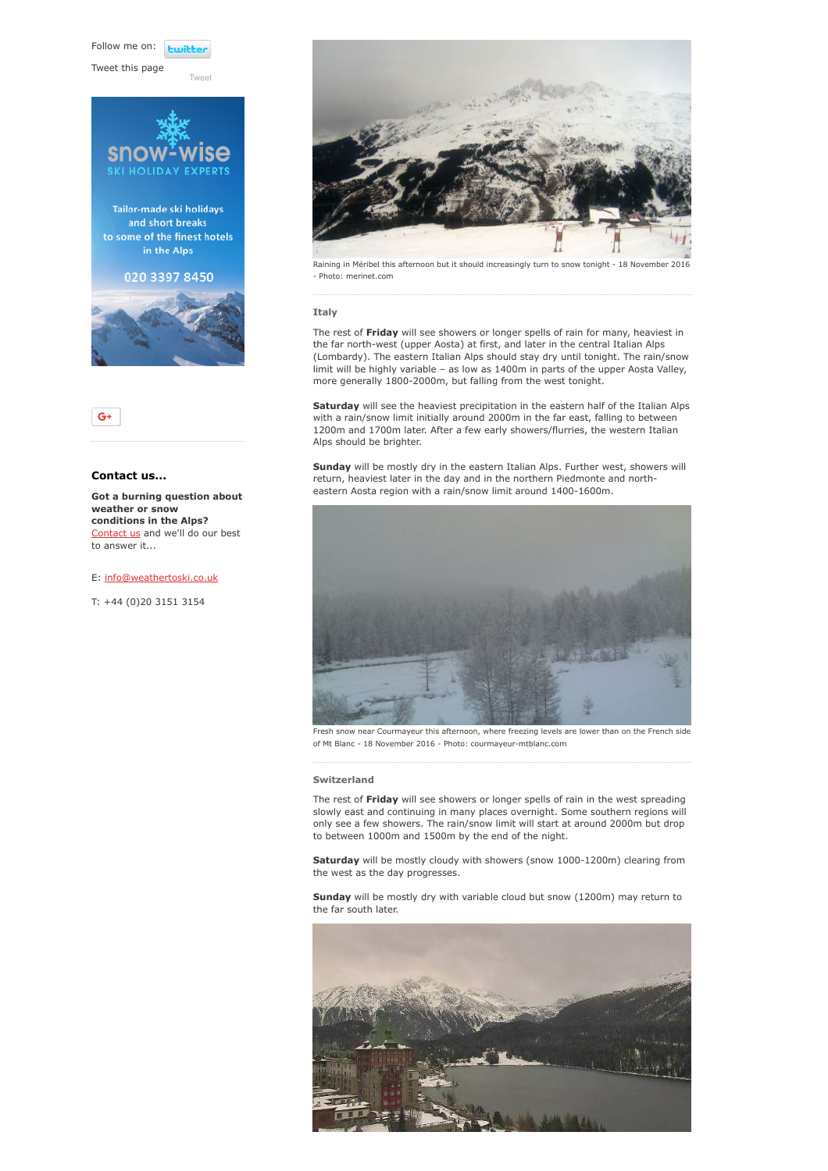Follow me on: **Lwitt** 

[Tweet](https://twitter.com/intent/tweet?original_referer=https%3A%2F%2Fwww.weathertoski.co.uk%2Fweather-snow%2Farchive%2Fsnow-forecast-18-11-2016%2F&ref_src=twsrc%5Etfw&text=Weather%20to%20ski%20-%20Snow%20forecast%20-%2018%20November%202016&tw_p=tweetbutton&url=https%3A%2F%2Fwww.weathertoski.co.uk%2Fweather-snow%2Farchive%2Fsnow-forecast-18-11-2016%2F)

Tweet this page





# Contact us...

Got a burning question about weather or snow conditions in the Alps? [Contact us](https://www.weathertoski.co.uk/about-1/contact-us/) and we'll do our best to answer it...

## E: [info@weathertoski.co.uk](mailto:fraser@weathertoski.co.uk)

T: +44 (0)20 3151 3154



Raining in Méribel this afternoon but it should increasingly turn to snow tonight - 18 November 2016 - Photo: merinet.com

# Italy

The rest of Friday will see showers or longer spells of rain for many, heaviest in the far north-west (upper Aosta) at first, and later in the central Italian Alps (Lombardy). The eastern Italian Alps should stay dry until tonight. The rain/snow limit will be highly variable – as low as 1400m in parts of the upper Aosta Valley, more generally 1800-2000m, but falling from the west tonight.

Saturday will see the heaviest precipitation in the eastern half of the Italian Alps with a rain/snow limit initially around 2000m in the far east, falling to between 1200m and 1700m later. After a few early showers/flurries, the western Italian Alps should be brighter.

Sunday will be mostly dry in the eastern Italian Alps. Further west, showers will return, heaviest later in the day and in the northern Piedmonte and northeastern Aosta region with a rain/snow limit around 1400-1600m.



Fresh snow near Courmayeur this afternoon, where freezing levels are lower than on the French side of Mt Blanc - 18 November 2016 - Photo: courmayeur-mtblanc.com

### Switzerland

The rest of Friday will see showers or longer spells of rain in the west spreading slowly east and continuing in many places overnight. Some southern regions will only see a few showers. The rain/snow limit will start at around 2000m but drop to between 1000m and 1500m by the end of the night.

Saturday will be mostly cloudy with showers (snow 1000-1200m) clearing from the west as the day progresses.

Sunday will be mostly dry with variable cloud but snow (1200m) may return to the far south later.